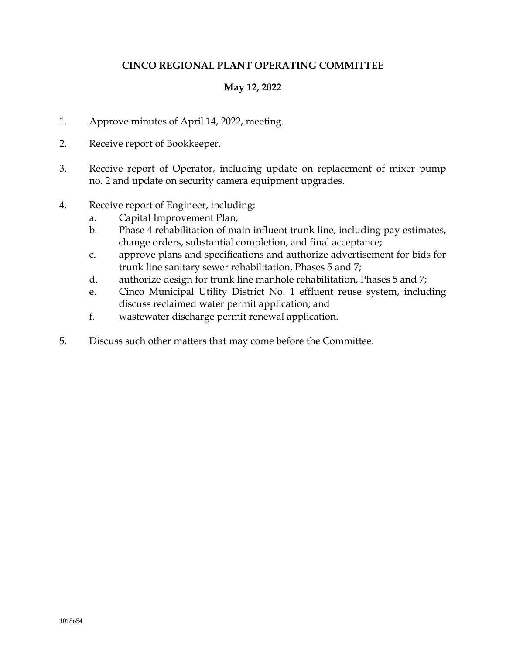# **CINCO REGIONAL PLANT OPERATING COMMITTEE**

## **May 12, 2022**

- 1. Approve minutes of April 14, 2022, meeting.
- 2. Receive report of Bookkeeper.
- 3. Receive report of Operator, including update on replacement of mixer pump no. 2 and update on security camera equipment upgrades.
- 4. Receive report of Engineer, including:
	- a. Capital Improvement Plan;
	- b. Phase 4 rehabilitation of main influent trunk line, including pay estimates, change orders, substantial completion, and final acceptance;
	- c. approve plans and specifications and authorize advertisement for bids for trunk line sanitary sewer rehabilitation, Phases 5 and 7;
	- d. authorize design for trunk line manhole rehabilitation, Phases 5 and 7;
	- e. Cinco Municipal Utility District No. 1 effluent reuse system, including discuss reclaimed water permit application; and
	- f. wastewater discharge permit renewal application.
- 5. Discuss such other matters that may come before the Committee.